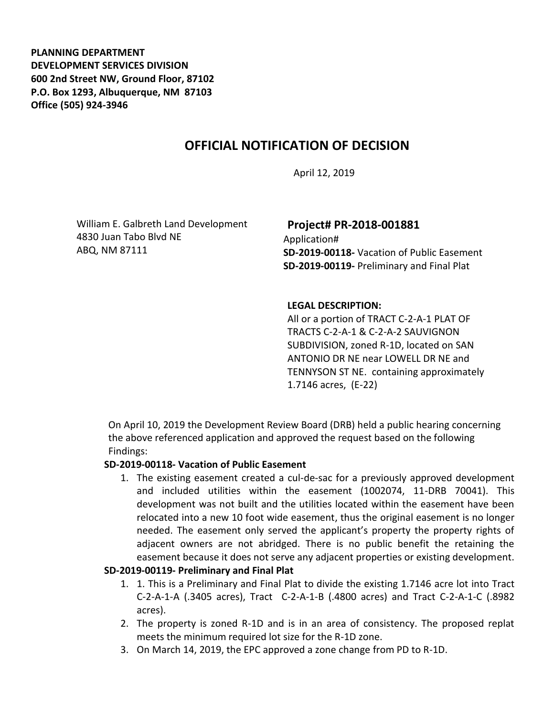**PLANNING DEPARTMENT DEVELOPMENT SERVICES DIVISION 600 2nd Street NW, Ground Floor, 87102 P.O. Box 1293, Albuquerque, NM 87103 Office (505) 924-3946** 

# **OFFICIAL NOTIFICATION OF DECISION**

April 12, 2019

William E. Galbreth Land Development 4830 Juan Tabo Blvd NE ABQ, NM 87111

## **Project# PR-2018-001881**

Application# **SD-2019-00118-** Vacation of Public Easement **SD-2019-00119-** Preliminary and Final Plat

### **LEGAL DESCRIPTION:**

All or a portion of TRACT C-2-A-1 PLAT OF TRACTS C-2-A-1 & C-2-A-2 SAUVIGNON SUBDIVISION, zoned R-1D, located on SAN ANTONIO DR NE near LOWELL DR NE and TENNYSON ST NE. containing approximately 1.7146 acres, (E-22)

On April 10, 2019 the Development Review Board (DRB) held a public hearing concerning the above referenced application and approved the request based on the following Findings:

### **SD-2019-00118- Vacation of Public Easement**

1. The existing easement created a cul-de-sac for a previously approved development and included utilities within the easement (1002074, 11-DRB 70041). This development was not built and the utilities located within the easement have been relocated into a new 10 foot wide easement, thus the original easement is no longer needed. The easement only served the applicant's property the property rights of adjacent owners are not abridged. There is no public benefit the retaining the easement because it does not serve any adjacent properties or existing development.

### **SD-2019-00119- Preliminary and Final Plat**

- 1. 1. This is a Preliminary and Final Plat to divide the existing 1.7146 acre lot into Tract C-2-A-1-A (.3405 acres), Tract C-2-A-1-B (.4800 acres) and Tract C-2-A-1-C (.8982 acres).
- 2. The property is zoned R-1D and is in an area of consistency. The proposed replat meets the minimum required lot size for the R-1D zone.
- 3. On March 14, 2019, the EPC approved a zone change from PD to R-1D.